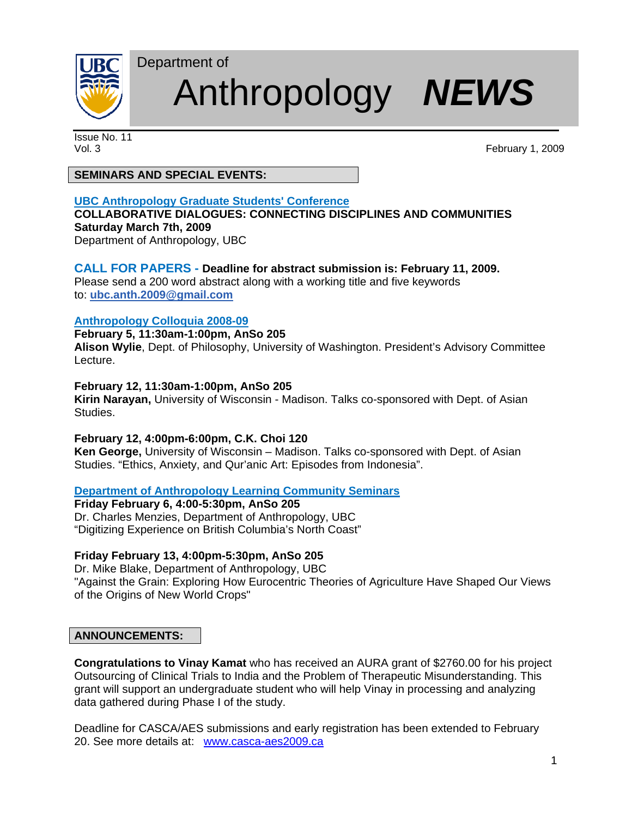

# Department of Anthropology *NEWS*

Issue No. 11

Vol. 3 February 1, 2009

## **SEMINARS AND SPECIAL EVENTS:**

## **UBC Anthropology Graduate Students' Conference**

## **COLLABORATIVE DIALOGUES: CONNECTING DISCIPLINES AND COMMUNITIES Saturday March 7th, 2009**

Department of Anthropology, UBC

## **CALL FOR PAPERS - Deadline for abstract submission is: February 11, 2009.**

Please send a 200 word abstract along with a working title and five keywords to: **ubc.anth.2009@gmail.com** 

## **Anthropology Colloquia 2008-09**

## **February 5, 11:30am-1:00pm, AnSo 205**

**Alison Wylie**, Dept. of Philosophy, University of Washington. President's Advisory Committee Lecture.

## **February 12, 11:30am-1:00pm, AnSo 205**

**Kirin Narayan,** University of Wisconsin - Madison. Talks co-sponsored with Dept. of Asian Studies.

## **February 12, 4:00pm-6:00pm, C.K. Choi 120**

**Ken George,** University of Wisconsin – Madison. Talks co-sponsored with Dept. of Asian Studies. "Ethics, Anxiety, and Qur'anic Art: Episodes from Indonesia".

## **Department of Anthropology Learning Community Seminars**

**Friday February 6, 4:00-5:30pm, AnSo 205** Dr. Charles Menzies, Department of Anthropology, UBC "Digitizing Experience on British Columbia's North Coast"

## **Friday February 13, 4:00pm-5:30pm, AnSo 205**

Dr. Mike Blake, Department of Anthropology, UBC "Against the Grain: Exploring How Eurocentric Theories of Agriculture Have Shaped Our Views of the Origins of New World Crops"

## **ANNOUNCEMENTS:**

**Congratulations to Vinay Kamat** who has received an AURA grant of \$2760.00 for his project Outsourcing of Clinical Trials to India and the Problem of Therapeutic Misunderstanding. This grant will support an undergraduate student who will help Vinay in processing and analyzing data gathered during Phase I of the study.

Deadline for CASCA/AES submissions and early registration has been extended to February 20. See more details at: www.casca-aes2009.ca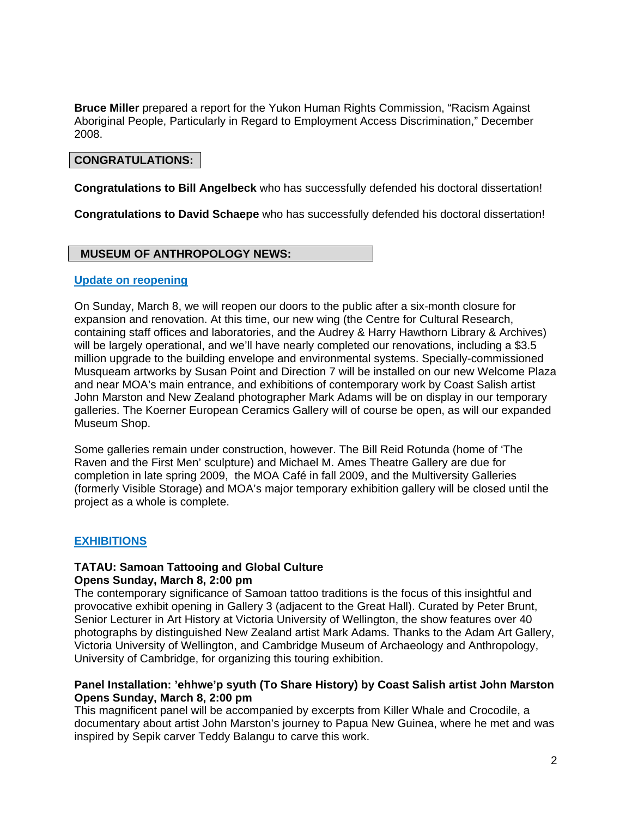**Bruce Miller** prepared a report for the Yukon Human Rights Commission, "Racism Against Aboriginal People, Particularly in Regard to Employment Access Discrimination," December 2008.

### **CONGRATULATIONS:**

**Congratulations to Bill Angelbeck** who has successfully defended his doctoral dissertation!

**Congratulations to David Schaepe** who has successfully defended his doctoral dissertation!

#### **MUSEUM OF ANTHROPOLOGY NEWS:**

#### **Update on reopening**

On Sunday, March 8, we will reopen our doors to the public after a six-month closure for expansion and renovation. At this time, our new wing (the Centre for Cultural Research, containing staff offices and laboratories, and the Audrey & Harry Hawthorn Library & Archives) will be largely operational, and we'll have nearly completed our renovations, including a \$3.5 million upgrade to the building envelope and environmental systems. Specially-commissioned Musqueam artworks by Susan Point and Direction 7 will be installed on our new Welcome Plaza and near MOA's main entrance, and exhibitions of contemporary work by Coast Salish artist John Marston and New Zealand photographer Mark Adams will be on display in our temporary galleries. The Koerner European Ceramics Gallery will of course be open, as will our expanded Museum Shop.

Some galleries remain under construction, however. The Bill Reid Rotunda (home of 'The Raven and the First Men' sculpture) and Michael M. Ames Theatre Gallery are due for completion in late spring 2009, the MOA Café in fall 2009, and the Multiversity Galleries (formerly Visible Storage) and MOA's major temporary exhibition gallery will be closed until the project as a whole is complete.

#### **EXHIBITIONS**

#### **TATAU: Samoan Tattooing and Global Culture Opens Sunday, March 8, 2:00 pm**

The contemporary significance of Samoan tattoo traditions is the focus of this insightful and provocative exhibit opening in Gallery 3 (adjacent to the Great Hall). Curated by Peter Brunt, Senior Lecturer in Art History at Victoria University of Wellington, the show features over 40 photographs by distinguished New Zealand artist Mark Adams. Thanks to the Adam Art Gallery, Victoria University of Wellington, and Cambridge Museum of Archaeology and Anthropology, University of Cambridge, for organizing this touring exhibition.

#### **Panel Installation: 'ehhwe'p syuth (To Share History) by Coast Salish artist John Marston Opens Sunday, March 8, 2:00 pm**

This magnificent panel will be accompanied by excerpts from Killer Whale and Crocodile, a documentary about artist John Marston's journey to Papua New Guinea, where he met and was inspired by Sepik carver Teddy Balangu to carve this work.